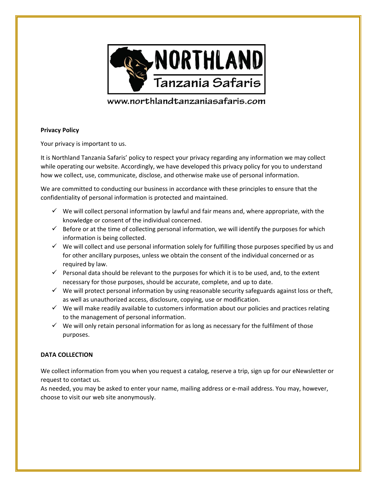

# www.northlandtanzaniasafaris.com

## **Privacy Policy**

Your privacy is important to us.

It is Northland Tanzania Safaris' policy to respect your privacy regarding any information we may collect while operating our website. Accordingly, we have developed this privacy policy for you to understand how we collect, use, communicate, disclose, and otherwise make use of personal information.

We are committed to conducting our business in accordance with these principles to ensure that the confidentiality of personal information is protected and maintained.

- $\checkmark$  We will collect personal information by lawful and fair means and, where appropriate, with the knowledge or consent of the individual concerned.
- $\checkmark$  Before or at the time of collecting personal information, we will identify the purposes for which information is being collected.
- $\checkmark$  We will collect and use personal information solely for fulfilling those purposes specified by us and for other ancillary purposes, unless we obtain the consent of the individual concerned or as required by law.
- $\checkmark$  Personal data should be relevant to the purposes for which it is to be used, and, to the extent necessary for those purposes, should be accurate, complete, and up to date.
- $\checkmark$  We will protect personal information by using reasonable security safeguards against loss or theft, as well as unauthorized access, disclosure, copying, use or modification.
- $\checkmark$  We will make readily available to customers information about our policies and practices relating to the management of personal information.
- $\checkmark$  We will only retain personal information for as long as necessary for the fulfilment of those purposes.

# **DATA COLLECTION**

We collect information from you when you request a catalog, reserve a trip, sign up for our eNewsletter or request to contact us.

As needed, you may be asked to enter your name, mailing address or e-mail address. You may, however, choose to visit our web site anonymously.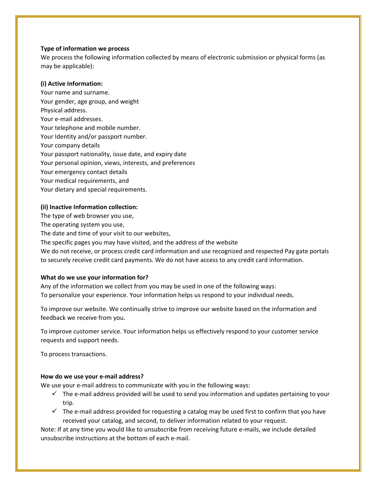## **Type of information we process**

We process the following information collected by means of electronic submission or physical forms (as may be applicable):

## **(i) Active Information:**

Your name and surname. Your gender, age group, and weight Physical address. Your e-mail addresses. Your telephone and mobile number. Your Identity and/or passport number. Your company details Your passport nationality, issue date, and expiry date Your personal opinion, views, interests, and preferences Your emergency contact details Your medical requirements, and Your dietary and special requirements.

## **(ii) Inactive Information collection:**

The type of web browser you use,

The operating system you use,

The date and time of your visit to our websites,

The specific pages you may have visited, and the address of the website

We do not receive, or process credit card information and use recognized and respected Pay gate portals to securely receive credit card payments. We do not have access to any credit card information.

## **What do we use your information for?**

Any of the information we collect from you may be used in one of the following ways: To personalize your experience. Your information helps us respond to your individual needs.

To improve our website. We continually strive to improve our website based on the information and feedback we receive from you.

To improve customer service. Your information helps us effectively respond to your customer service requests and support needs.

To process transactions.

#### **How do we use your e-mail address?**

We use your e-mail address to communicate with you in the following ways:

- $\checkmark$  The e-mail address provided will be used to send you information and updates pertaining to your trip.
- $\checkmark$  The e-mail address provided for requesting a catalog may be used first to confirm that you have received your catalog, and second, to deliver information related to your request.

Note: If at any time you would like to unsubscribe from receiving future e-mails, we include detailed unsubscribe instructions at the bottom of each e-mail.